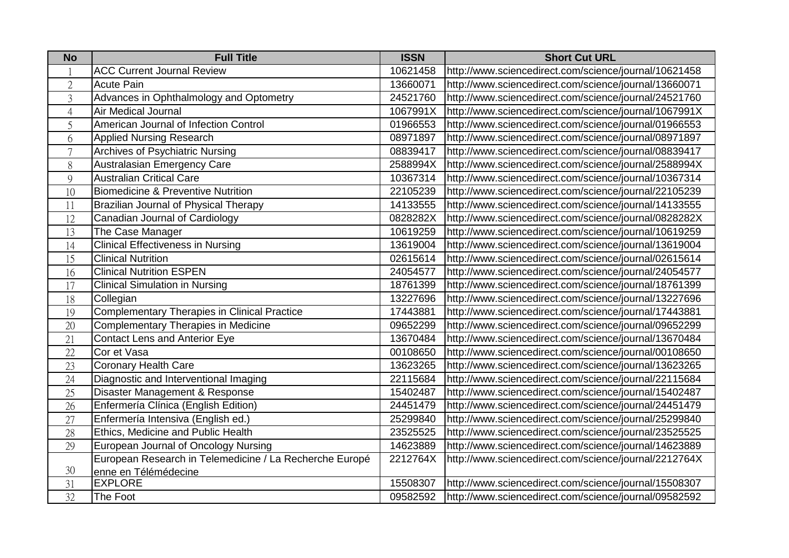| <b>No</b>      | <b>Full Title</b>                                       | <b>ISSN</b> | <b>Short Cut URL</b>                                  |
|----------------|---------------------------------------------------------|-------------|-------------------------------------------------------|
|                | <b>ACC Current Journal Review</b>                       | 10621458    | http://www.sciencedirect.com/science/journal/10621458 |
| $\overline{2}$ | <b>Acute Pain</b>                                       | 13660071    | http://www.sciencedirect.com/science/journal/13660071 |
| $\overline{3}$ | Advances in Ophthalmology and Optometry                 | 24521760    | http://www.sciencedirect.com/science/journal/24521760 |
| $\overline{4}$ | Air Medical Journal                                     | 1067991X    | http://www.sciencedirect.com/science/journal/1067991X |
| 5              | American Journal of Infection Control                   | 01966553    | http://www.sciencedirect.com/science/journal/01966553 |
| 6              | <b>Applied Nursing Research</b>                         | 08971897    | http://www.sciencedirect.com/science/journal/08971897 |
| $\overline{7}$ | <b>Archives of Psychiatric Nursing</b>                  | 08839417    | http://www.sciencedirect.com/science/journal/08839417 |
| 8              | Australasian Emergency Care                             | 2588994X    | http://www.sciencedirect.com/science/journal/2588994X |
| 9              | <b>Australian Critical Care</b>                         | 10367314    | http://www.sciencedirect.com/science/journal/10367314 |
| 10             | <b>Biomedicine &amp; Preventive Nutrition</b>           | 22105239    | http://www.sciencedirect.com/science/journal/22105239 |
| 11             | Brazilian Journal of Physical Therapy                   | 14133555    | http://www.sciencedirect.com/science/journal/14133555 |
| 12             | Canadian Journal of Cardiology                          | 0828282X    | http://www.sciencedirect.com/science/journal/0828282X |
| 13             | The Case Manager                                        | 10619259    | http://www.sciencedirect.com/science/journal/10619259 |
| 14             | <b>Clinical Effectiveness in Nursing</b>                | 13619004    | http://www.sciencedirect.com/science/journal/13619004 |
| 15             | <b>Clinical Nutrition</b>                               | 02615614    | http://www.sciencedirect.com/science/journal/02615614 |
| 16             | <b>Clinical Nutrition ESPEN</b>                         | 24054577    | http://www.sciencedirect.com/science/journal/24054577 |
| 17             | <b>Clinical Simulation in Nursing</b>                   | 18761399    | http://www.sciencedirect.com/science/journal/18761399 |
| 18             | Collegian                                               | 13227696    | http://www.sciencedirect.com/science/journal/13227696 |
| 19             | <b>Complementary Therapies in Clinical Practice</b>     | 17443881    | http://www.sciencedirect.com/science/journal/17443881 |
| 20             | <b>Complementary Therapies in Medicine</b>              | 09652299    | http://www.sciencedirect.com/science/journal/09652299 |
| 21             | <b>Contact Lens and Anterior Eye</b>                    | 13670484    | http://www.sciencedirect.com/science/journal/13670484 |
| 22             | Cor et Vasa                                             | 00108650    | http://www.sciencedirect.com/science/journal/00108650 |
| 23             | <b>Coronary Health Care</b>                             | 13623265    | http://www.sciencedirect.com/science/journal/13623265 |
| 24             | Diagnostic and Interventional Imaging                   | 22115684    | http://www.sciencedirect.com/science/journal/22115684 |
| 25             | Disaster Management & Response                          | 15402487    | http://www.sciencedirect.com/science/journal/15402487 |
| 26             | Enfermería Clínica (English Edition)                    | 24451479    | http://www.sciencedirect.com/science/journal/24451479 |
| 27             | Enfermería Intensiva (English ed.)                      | 25299840    | http://www.sciencedirect.com/science/journal/25299840 |
| 28             | Ethics, Medicine and Public Health                      | 23525525    | http://www.sciencedirect.com/science/journal/23525525 |
| 29             | European Journal of Oncology Nursing                    | 14623889    | http://www.sciencedirect.com/science/journal/14623889 |
|                | European Research in Telemedicine / La Recherche Europé | 2212764X    | http://www.sciencedirect.com/science/journal/2212764X |
| 30             | enne en Télémédecine                                    |             |                                                       |
| 31             | <b>EXPLORE</b>                                          | 15508307    | http://www.sciencedirect.com/science/journal/15508307 |
| 32             | The Foot                                                | 09582592    | http://www.sciencedirect.com/science/journal/09582592 |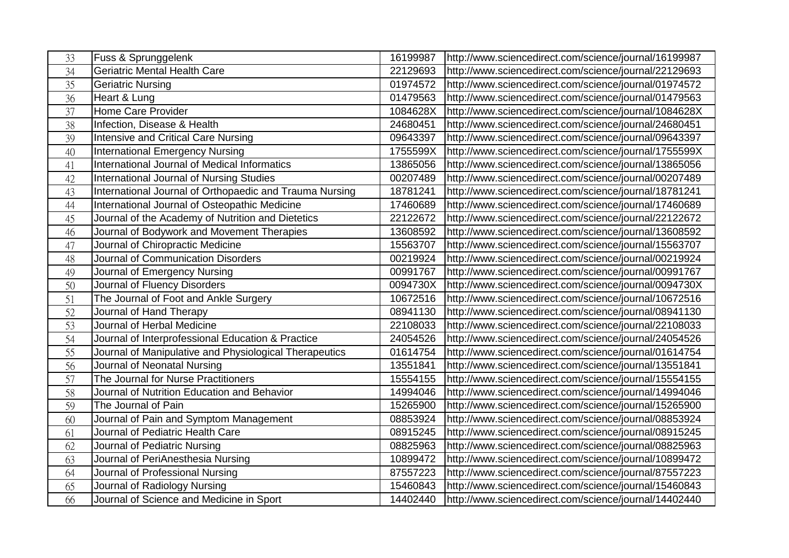| 33 | <b>Fuss &amp; Sprunggelenk</b>                          | 16199987 | http://www.sciencedirect.com/science/journal/16199987 |
|----|---------------------------------------------------------|----------|-------------------------------------------------------|
| 34 | Geriatric Mental Health Care                            | 22129693 | http://www.sciencedirect.com/science/journal/22129693 |
| 35 | <b>Geriatric Nursing</b>                                | 01974572 | http://www.sciencedirect.com/science/journal/01974572 |
| 36 | Heart & Lung                                            | 01479563 | http://www.sciencedirect.com/science/journal/01479563 |
| 37 | Home Care Provider                                      | 1084628X | http://www.sciencedirect.com/science/journal/1084628X |
| 38 | Infection, Disease & Health                             | 24680451 | http://www.sciencedirect.com/science/journal/24680451 |
| 39 | Intensive and Critical Care Nursing                     | 09643397 | http://www.sciencedirect.com/science/journal/09643397 |
| 40 | <b>International Emergency Nursing</b>                  | 1755599X | http://www.sciencedirect.com/science/journal/1755599X |
| 41 | International Journal of Medical Informatics            | 13865056 | http://www.sciencedirect.com/science/journal/13865056 |
| 42 | International Journal of Nursing Studies                | 00207489 | http://www.sciencedirect.com/science/journal/00207489 |
| 43 | International Journal of Orthopaedic and Trauma Nursing | 18781241 | http://www.sciencedirect.com/science/journal/18781241 |
| 44 | International Journal of Osteopathic Medicine           | 17460689 | http://www.sciencedirect.com/science/journal/17460689 |
| 45 | Journal of the Academy of Nutrition and Dietetics       | 22122672 | http://www.sciencedirect.com/science/journal/22122672 |
| 46 | Journal of Bodywork and Movement Therapies              | 13608592 | http://www.sciencedirect.com/science/journal/13608592 |
| 47 | Journal of Chiropractic Medicine                        | 15563707 | http://www.sciencedirect.com/science/journal/15563707 |
| 48 | Journal of Communication Disorders                      | 00219924 | http://www.sciencedirect.com/science/journal/00219924 |
| 49 | Journal of Emergency Nursing                            | 00991767 | http://www.sciencedirect.com/science/journal/00991767 |
| 50 | Journal of Fluency Disorders                            | 0094730X | http://www.sciencedirect.com/science/journal/0094730X |
| 51 | The Journal of Foot and Ankle Surgery                   | 10672516 | http://www.sciencedirect.com/science/journal/10672516 |
| 52 | Journal of Hand Therapy                                 | 08941130 | http://www.sciencedirect.com/science/journal/08941130 |
| 53 | Journal of Herbal Medicine                              | 22108033 | http://www.sciencedirect.com/science/journal/22108033 |
| 54 | Journal of Interprofessional Education & Practice       | 24054526 | http://www.sciencedirect.com/science/journal/24054526 |
| 55 | Journal of Manipulative and Physiological Therapeutics  | 01614754 | http://www.sciencedirect.com/science/journal/01614754 |
| 56 | Journal of Neonatal Nursing                             | 13551841 | http://www.sciencedirect.com/science/journal/13551841 |
| 57 | The Journal for Nurse Practitioners                     | 15554155 | http://www.sciencedirect.com/science/journal/15554155 |
| 58 | Journal of Nutrition Education and Behavior             | 14994046 | http://www.sciencedirect.com/science/journal/14994046 |
| 59 | The Journal of Pain                                     | 15265900 | http://www.sciencedirect.com/science/journal/15265900 |
| 60 | Journal of Pain and Symptom Management                  | 08853924 | http://www.sciencedirect.com/science/journal/08853924 |
| 61 | Journal of Pediatric Health Care                        | 08915245 | http://www.sciencedirect.com/science/journal/08915245 |
| 62 | Journal of Pediatric Nursing                            | 08825963 | http://www.sciencedirect.com/science/journal/08825963 |
| 63 | Journal of PeriAnesthesia Nursing                       | 10899472 | http://www.sciencedirect.com/science/journal/10899472 |
| 64 | Journal of Professional Nursing                         | 87557223 | http://www.sciencedirect.com/science/journal/87557223 |
| 65 | Journal of Radiology Nursing                            | 15460843 | http://www.sciencedirect.com/science/journal/15460843 |
| 66 | Journal of Science and Medicine in Sport                | 14402440 | http://www.sciencedirect.com/science/journal/14402440 |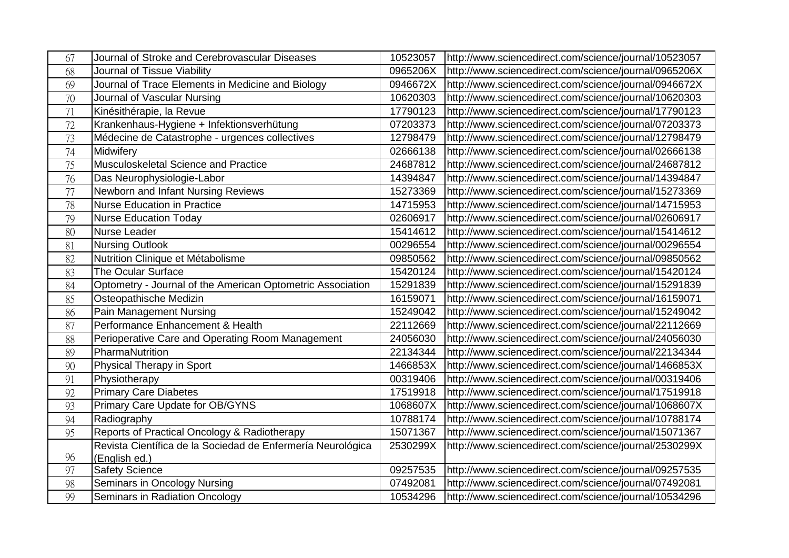| 67              | Journal of Stroke and Cerebrovascular Diseases              | 10523057 | http://www.sciencedirect.com/science/journal/10523057 |
|-----------------|-------------------------------------------------------------|----------|-------------------------------------------------------|
| 68              | Journal of Tissue Viability                                 | 0965206X | http://www.sciencedirect.com/science/journal/0965206X |
| 69              | Journal of Trace Elements in Medicine and Biology           | 0946672X | http://www.sciencedirect.com/science/journal/0946672X |
| 70              | Journal of Vascular Nursing                                 | 10620303 | http://www.sciencedirect.com/science/journal/10620303 |
| 71              | Kinésithérapie, la Revue                                    | 17790123 | http://www.sciencedirect.com/science/journal/17790123 |
| 72              | Krankenhaus-Hygiene + Infektionsverhütung                   | 07203373 | http://www.sciencedirect.com/science/journal/07203373 |
| 73              | Médecine de Catastrophe - urgences collectives              | 12798479 | http://www.sciencedirect.com/science/journal/12798479 |
| 74              | Midwifery                                                   | 02666138 | http://www.sciencedirect.com/science/journal/02666138 |
| 75              | Musculoskeletal Science and Practice                        | 24687812 | http://www.sciencedirect.com/science/journal/24687812 |
| $\overline{76}$ | Das Neurophysiologie-Labor                                  | 14394847 | http://www.sciencedirect.com/science/journal/14394847 |
| 77              | Newborn and Infant Nursing Reviews                          | 15273369 | http://www.sciencedirect.com/science/journal/15273369 |
| 78              | <b>Nurse Education in Practice</b>                          | 14715953 | http://www.sciencedirect.com/science/journal/14715953 |
| 79              | <b>Nurse Education Today</b>                                | 02606917 | http://www.sciencedirect.com/science/journal/02606917 |
| 80              | Nurse Leader                                                | 15414612 | http://www.sciencedirect.com/science/journal/15414612 |
| 81              | <b>Nursing Outlook</b>                                      | 00296554 | http://www.sciencedirect.com/science/journal/00296554 |
| 82              | Nutrition Clinique et Métabolisme                           | 09850562 | http://www.sciencedirect.com/science/journal/09850562 |
| 83              | The Ocular Surface                                          | 15420124 | http://www.sciencedirect.com/science/journal/15420124 |
| 84              | Optometry - Journal of the American Optometric Association  | 15291839 | http://www.sciencedirect.com/science/journal/15291839 |
| 85              | Osteopathische Medizin                                      | 16159071 | http://www.sciencedirect.com/science/journal/16159071 |
| 86              | <b>Pain Management Nursing</b>                              | 15249042 | http://www.sciencedirect.com/science/journal/15249042 |
| 87              | Performance Enhancement & Health                            | 22112669 | http://www.sciencedirect.com/science/journal/22112669 |
| 88              | Perioperative Care and Operating Room Management            | 24056030 | http://www.sciencedirect.com/science/journal/24056030 |
| 89              | PharmaNutrition                                             | 22134344 | http://www.sciencedirect.com/science/journal/22134344 |
| 90              | Physical Therapy in Sport                                   | 1466853X | http://www.sciencedirect.com/science/journal/1466853X |
| 91              | Physiotherapy                                               | 00319406 | http://www.sciencedirect.com/science/journal/00319406 |
| 92              | <b>Primary Care Diabetes</b>                                | 17519918 | http://www.sciencedirect.com/science/journal/17519918 |
| 93              | Primary Care Update for OB/GYNS                             | 1068607X | http://www.sciencedirect.com/science/journal/1068607X |
| 94              | Radiography                                                 | 10788174 | http://www.sciencedirect.com/science/journal/10788174 |
| 95              | Reports of Practical Oncology & Radiotherapy                | 15071367 | http://www.sciencedirect.com/science/journal/15071367 |
|                 | Revista Científica de la Sociedad de Enfermería Neurológica | 2530299X | http://www.sciencedirect.com/science/journal/2530299X |
| 96              | (English ed.)                                               |          |                                                       |
| 97              | <b>Safety Science</b>                                       | 09257535 | http://www.sciencedirect.com/science/journal/09257535 |
| 98              | Seminars in Oncology Nursing                                | 07492081 | http://www.sciencedirect.com/science/journal/07492081 |
| 99              | Seminars in Radiation Oncology                              | 10534296 | http://www.sciencedirect.com/science/journal/10534296 |